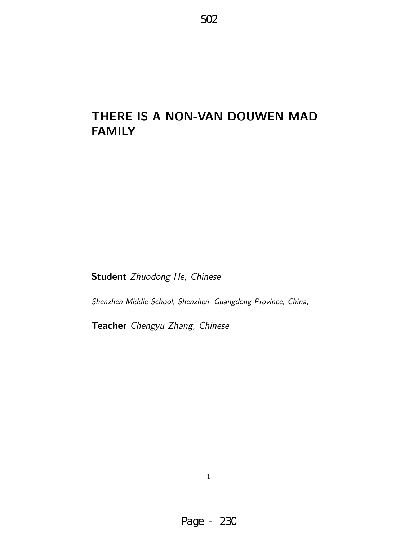# THERE IS A NON-VAN DOUWEN MAD FAMILY

Student Zhuodong He, Chinese

Shenzhen Middle School, Shenzhen, Guangdong Province, China;

Teacher Chengyu Zhang, Chinese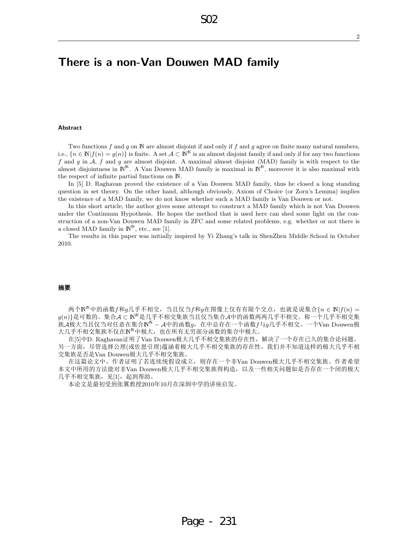# There is a non-Van Douwen MAD family

#### Abstract

Two functions  $f$  and  $g$  on  $\mathbb N$  are almost disjoint if and only if  $f$  and  $g$  agree on finite many natural numbers, i.e.,  ${n \in \mathbb{N} | f(n) = g(n)}$  is finite. A set  $A \subset \mathbb{N}^{\mathbb{N}}$  is an almost disjoint family if and only if for any two functions f and g in  $A$ , f and g are almost disjoint. A maximal almost disjoint (MAD) family is with respect to the almost disjointness in  $\mathbb{N}^{\mathbb{N}}$ . A Van Douwen MAD family is maximal in  $\mathbb{N}^{\mathbb{N}}$ , moreover it is also maximal with the respect of infinite partial functions on N.

In [5] D. Raghavan proved the existence of a Van Douwen MAD family, thus he closed a long standing question in set theory. On the other hand, although obviously, Axiom of Choice (or Zorn's Lemma) implies the existence of a MAD family, we do not know whether such a MAD family is Van Douwen or not.

In this short article, the author gives some attempt to construct a MAD family which is not Van Douwen under the Continuum Hypothesis. He hopes the method that is used here can shed some light on the construction of a non-Van Douwen MAD family in ZFC and some related problems, e.g. whether or not there is a closed MAD family in  $\mathbb{N}^{\mathbb{N}}$ , etc., see [1].

The results in this paper was initially inspired by Yi Zhang's talk in ShenZhen Middle School in October 2010.

#### 摘要

两个 $N^{\mathbb{N}}$ 中的函数 $f$ 和 $g$ 几乎不相交,当且仅当 $f$ 和 $g$ 在图像上仅有有限个交点,也就是说集合 $\{n \in \mathbb{N} | f(n) = n\}$  $g(n) \}$ 是可数的。集合 $\mathcal{A} \subset \mathbb{N}^{\mathbb{N}}$ 是几乎不相交集族当且仅当集合 $\mathcal{A}$ 中的函数两两几乎不相交。称一个几乎不相交集  $\check{\pi}$ A极大当且仅当对任意在集合 $\texttt{N}^{\texttt{N}}$  – A中的函数 $g$ ,在中总存在一个函数 $f$ 与 $g$ 几乎不相交。一个Van Douwen极 大几乎不相交集族不仅在N<sup>N</sup>中极大,也在所有无穷部分函数的集合中极大。

在[5]中D. Raghavan证明了Van Douwen极大几乎不相交集族的存在性,解决了一个存在已久的集合论问题。 另一方面,尽管选择公理(或佐恩引理)蕴涵着极大几乎不相交集族的存在性,我们并不知道这样的极大几乎不相 交集族是否是Van Douwen极大几乎不相交集族。

在这篇论文中,作者证明了若连续统假设成立,则存在一个非Van Douwen极大几乎不相交集族。作者希望 本文中所用的方法能对非Van Douwen极大几乎不相交集族得构造,以及一些相关问题如是否存在一个闭的极大 几乎不相交集族,见[1],起到帮助。

本论文是最初受到张翼教授2010年10月在深圳中学的讲座启发。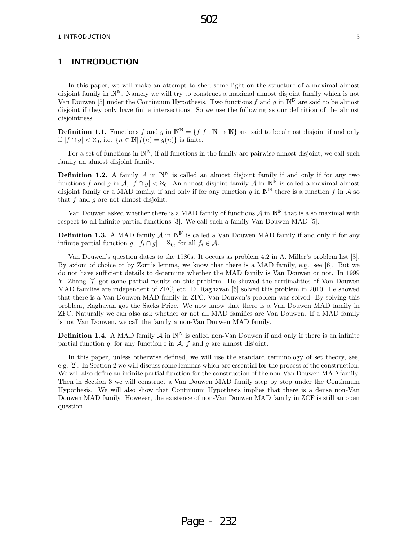## 1 INTRODUCTION

In this paper, we will make an attempt to shed some light on the structure of a maximal almost disjoint family in  $\mathbb{N}^N$ . Namely we will try to construct a maximal almost disjoint family which is not Van Douwen [5] under the Continuum Hypothesis. Two functions f and g in  $\mathbb{N}^{\mathbb{N}}$  are said to be almost disjoint if they only have finite intersections. So we use the following as our definition of the almost disjointness.

S02

**Definition 1.1.** Functions f and g in  $\mathbb{N}^{\mathbb{N}} = \{f | f : \mathbb{N} \to \mathbb{N}\}\$ are said to be almost disjoint if and only if  $|f \cap q| < \aleph_0$ , i.e.  $\{n \in \mathbb{N} | f(n) = q(n)\}\$ is finite.

For a set of functions in  $\mathbb{N}^N$ , if all functions in the family are pairwise almost disjoint, we call such family an almost disjoint family.

**Definition 1.2.** A family  $\mathcal{A}$  in  $\mathbb{N}^{\mathbb{N}}$  is called an almost disjoint family if and only if for any two functions f and g in A,  $|f \cap g| < \aleph_0$ . An almost disjoint family A in  $\mathbb{N}^{\mathbb{N}}$  is called a maximal almost disjoint family or a MAD family, if and only if for any function g in  $\mathbb{N}^{\mathbb{N}}$  there is a function f in A so that  $f$  and  $q$  are not almost disjoint.

Van Douwen asked whether there is a MAD family of functions  $\mathcal{A}$  in  $\mathbb{N}^{\mathbb{N}}$  that is also maximal with respect to all infinite partial functions [3]. We call such a family Van Douwen MAD [5].

**Definition 1.3.** A MAD family  $\mathcal{A}$  in  $\mathbb{N}^{\mathbb{N}}$  is called a Van Douwen MAD family if and only if for any infinite partial function g,  $|f_i \cap g| = \aleph_0$ , for all  $f_i \in \mathcal{A}$ .

Van Douwen's question dates to the 1980s. It occurs as problem 4.2 in A. Miller's problem list [3]. By axiom of choice or by Zorn's lemma, we know that there is a MAD family, e.g. see [6]. But we do not have sufficient details to determine whether the MAD family is Van Douwen or not. In 1999 Y. Zhang [7] got some partial results on this problem. He showed the cardinalities of Van Douwen MAD families are independent of ZFC, etc. D. Raghavan [5] solved this problem in 2010. He showed that there is a Van Douwen MAD family in ZFC. Van Douwen's problem was solved. By solving this problem, Raghavan got the Sacks Prize. We now know that there is a Van Douwen MAD family in ZFC. Naturally we can also ask whether or not all MAD families are Van Douwen. If a MAD family is not Van Douwen, we call the family a non-Van Douwen MAD family.

**Definition 1.4.** A MAD family  $\mathcal{A}$  in  $\mathbb{N}^{\mathbb{N}}$  is called non-Van Douwen if and only if there is an infinite partial function g, for any function f in  $A$ , f and g are almost disjoint.

In this paper, unless otherwise defined, we will use the standard terminology of set theory, see, e.g. [2]. In Section 2 we will discuss some lemmas which are essential for the process of the construction. We will also define an infinite partial function for the construction of the non-Van Douwen MAD family. Then in Section 3 we will construct a Van Douwen MAD family step by step under the Continuum Hypothesis. We will also show that Continuum Hypothesis implies that there is a dense non-Van Douwen MAD family. However, the existence of non-Van Douwen MAD family in ZCF is still an open question.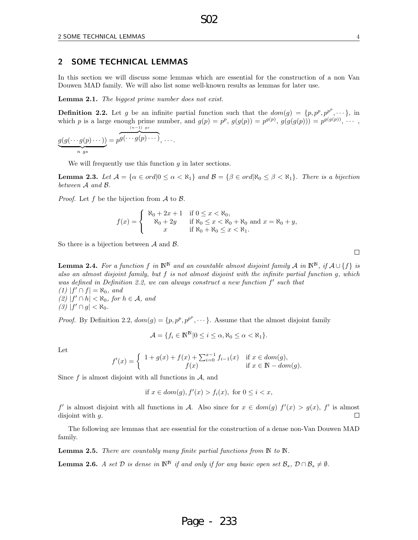#### 2 SOME TECHNICAL LEMMAS

In this section we will discuss some lemmas which are essential for the construction of a non Van Douwen MAD family. We will also list some well-known results as lemmas for later use.

S02

Lemma 2.1. The biggest prime number does not exist.

**Definition 2.2.** Let g be an infinite partial function such that the  $dom(g) = \{p, p^p, p^{p^p}, \dots\}$ , in which p is a large enough prime number, and  $g(p) = p^p$ ,  $g(g(p)) = p^{g(p)}$ ,  $g(g(g(p))) = p^{g(g(p))}$ , ...  $g(g(\cdots g(p)\cdots))=p$ (n−1) gs  $g(\cdots g(p)\cdots),\ldots$ 

$$
\overbrace{\qquad \qquad \quad \ \, n \, \, gs}
$$

We will frequently use this function  $q$  in later sections.

**Lemma 2.3.** Let  $\mathcal{A} = \{ \alpha \in \text{ord} | 0 \leq \alpha < \aleph_1 \}$  and  $\mathcal{B} = \{ \beta \in \text{ord} | \aleph_0 \leq \beta < \aleph_1 \}$ . There is a bijection between A and B.

*Proof.* Let f be the bijection from  $A$  to  $B$ .

$$
f(x) = \begin{cases} \n\aleph_0 + 2x + 1 & \text{if } 0 \le x < \aleph_0, \\ \n\aleph_0 + 2y & \text{if } \aleph_0 \le x < \aleph_0 + \aleph_0 \text{ and } x = \aleph_0 + y, \\ \nx & \text{if } \aleph_0 + \aleph_0 \le x < \aleph_1. \n\end{cases}
$$

So there is a bijection between  $A$  and  $B$ .

**Lemma 2.4.** For a function f in  $\mathbb{N}^{\mathbb{N}}$  and an countable almost disjoint family A in  $\mathbb{N}^{\mathbb{N}}$ , if  $\mathcal{A} \cup \{f\}$  is also an almost disjoint family, but f is not almost disjoint with the infinite partial function g, which was defined in Definition 2.2, we can always construct a new function  $f'$  such that  $(1)$   $|f' \cap f| = \aleph_0$ , and (2)  $|f' \cap h| < \aleph_0$ , for  $h \in \mathcal{A}$ , and  $(3)$   $|f' \cap g| < \aleph_0$ .

*Proof.* By Definition 2.2,  $dom(g) = \{p, p^p, p^{p^p}, \dots\}$ . Assume that the almost disjoint family

$$
\mathcal{A} = \{ f_i \in \mathbb{N}^{\mathbb{N}} | 0 \leq i \leq \alpha, \aleph_0 \leq \alpha < \aleph_1 \}.
$$

Let

$$
f'(x) = \begin{cases} 1 + g(x) + f(x) + \sum_{i=0}^{x-1} f_{i-1}(x) & \text{if } x \in dom(g), \\ f(x) & \text{if } x \in \mathbb{N} - dom(g). \end{cases}
$$

Since  $f$  is almost disjoint with all functions in  $\mathcal{A}$ , and

if  $x \in dom(g), f'(x) > f_i(x)$ , for  $0 \leq i < x$ ,

f' is almost disjoint with all functions in A. Also since for  $x \in dom(g)$   $f'(x) > g(x)$ , f' is almost disjoint with  $g$ .  $\Box$ 

The following are lemmas that are essential for the construction of a dense non-Van Douwen MAD family.

Lemma 2.5. There are countably many finite partial functions from  $\mathbb N$  to  $\mathbb N$ .

**Lemma 2.6.** A set  $D$  is dense in  $\mathbb{N}^{\mathbb{N}}$  if and only if for any basic open set  $\mathcal{B}_s$ ,  $D \cap \mathcal{B}_s \neq \emptyset$ .

## Page - 233

 $\Box$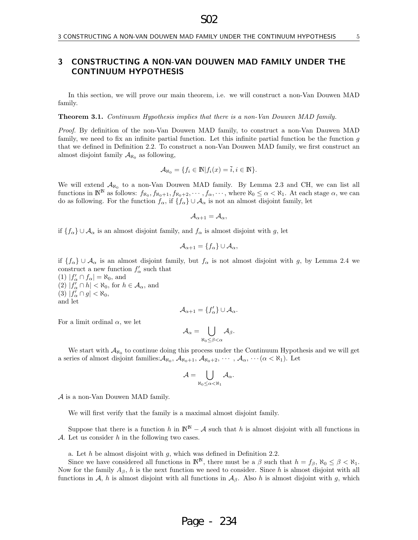## 3 CONSTRUCTING A NON-VAN DOUWEN MAD FAMILY UNDER THE CONTINUUM HYPOTHESIS

In this section, we will prove our main theorem, i.e. we will construct a non-Van Douwen MAD family.

S02

Theorem 3.1. Continuum Hypothesis implies that there is a non-Van Douwen MAD family.

Proof. By definition of the non-Van Douwen MAD family, to construct a non-Van Dauwen MAD family, we need to fix an infinite partial function. Let this infinite partial function be the function  $q$ that we defined in Definition 2.2. To construct a non-Van Douwen MAD family, we first construct an almost disjoint family  $A_{\aleph_0}$  as following,

$$
\mathcal{A}_{\aleph_0} = \{ f_i \in \mathbb{N} | f_i(x) = \overline{i}, i \in \mathbb{N} \}.
$$

We will extend  $A_{\aleph_0}$  to a non-Van Douwen MAD family. By Lemma 2.3 and CH, we can list all functions in  $\mathbb{N}^{\mathbb{N}}$  as follows:  $f_{\aleph_0}, f_{\aleph_0+1}, f_{\aleph_0+2}, \cdots, f_{\alpha}, \cdots$ , where  $\aleph_0 \leq \alpha < \aleph_1$ . At each stage  $\alpha$ , we can do as following. For the function  $f_{\alpha}$ , if  $\{f_{\alpha}\}\cup\mathcal{A}_{\alpha}$  is not an almost disjoint family, let

$$
\mathcal{A}_{\alpha+1}=\mathcal{A}_{\alpha},
$$

if  ${f_{\alpha}} \cup \mathcal{A}_{\alpha}$  is an almost disjoint family, and  $f_{\alpha}$  is almost disjoint with g, let

$$
\mathcal{A}_{\alpha+1} = \{f_{\alpha}\} \cup \mathcal{A}_{\alpha},
$$

if  ${f_{\alpha}} \cup \mathcal{A}_{\alpha}$  is an almost disjoint family, but  $f_{\alpha}$  is not almost disjoint with g, by Lemma 2.4 we construct a new function  $f'_{\alpha}$  such that

(1)  $|f'_{\alpha} \cap f_{\alpha}| = \aleph_0$ , and (2)  $|f'_{\alpha} \cap h| < \aleph_0$ , for  $h \in \mathcal{A}_{\alpha}$ , and (3)  $|f'_{\alpha} \cap g| < \aleph_0$ , and let

$$
\mathcal{A}_{\alpha+1} = \{f'_{\alpha}\} \cup \mathcal{A}_{\alpha}.
$$

For a limit ordinal  $\alpha$ , we let

$$
\mathcal{A}_\alpha = \bigcup_{\aleph_0 \leq \beta < \alpha} \mathcal{A}_\beta.
$$

We start with  $A_{\aleph_0}$  to continue doing this process under the Continuum Hypothesis and we will get a series of almost disjoint families:  $A_{\aleph_0}$ ,  $A_{\aleph_0+1}$ ,  $A_{\aleph_0+2}$ ,  $\cdots$ ,  $A_{\alpha}$ ,  $\cdots$   $(\alpha < \aleph_1)$ . Let

$$
\mathcal{A}=\bigcup_{\aleph_0\leq\alpha<\aleph_1}\mathcal{A}_\alpha.
$$

A is a non-Van Douwen MAD family.

We will first verify that the family is a maximal almost disjoint family.

Suppose that there is a function h in  $\mathbb{N}^{\mathbb{N}} - A$  such that h is almost disjoint with all functions in A. Let us consider  $h$  in the following two cases.

a. Let  $h$  be almost disjoint with  $g$ , which was defined in Definition 2.2.

Since we have considered all functions in  $\mathbb{N}^{\mathbb{N}}$ , there must be a  $\beta$  such that  $h = f_{\beta}$ ,  $\aleph_0 \leq \beta < \aleph_1$ . Now for the family  $A_\beta$ , h is the next function we need to consider. Since h is almost disjoint with all functions in A, h is almost disjoint with all functions in  $A_\beta$ . Also h is almost disjoint with g, which

# Page - 234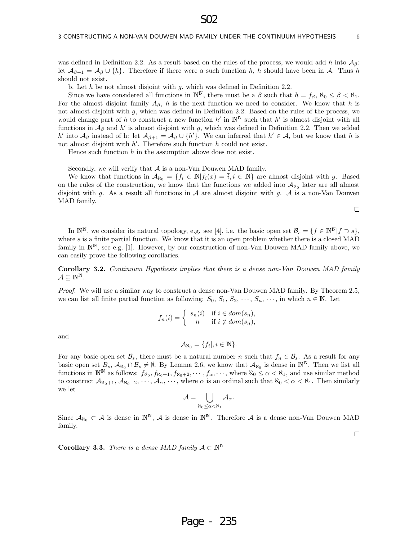was defined in Definition 2.2. As a result based on the rules of the process, we would add h into  $A_{\beta}$ : let  $\mathcal{A}_{\beta+1} = \mathcal{A}_{\beta} \cup \{h\}$ . Therefore if there were a such function h, h should have been in A. Thus h should not exist.

S02

b. Let  $h$  be not almost disjoint with  $g$ , which was defined in Definition 2.2.

Since we have considered all functions in  $\mathbb{N}^{\mathbb{N}}$ , there must be a  $\beta$  such that  $h = f_{\beta}$ ,  $\aleph_0 \leq \beta < \aleph_1$ . For the almost disjoint family  $A_\beta$ , h is the next function we need to consider. We know that h is not almost disjoint with g, which was defined in Definition 2.2. Based on the rules of the process, we would change part of h to construct a new function  $h'$  in  $\mathbb{N}^{\mathbb{N}}$  such that h' is almost disjoint with all functions in  $\mathcal{A}_{\beta}$  and h' is almost disjoint with g, which was defined in Definition 2.2. Then we added h' into  $\mathcal{A}_{\beta}$  instead of h: let  $\mathcal{A}_{\beta+1} = \mathcal{A}_{\beta} \cup \{h'\}$ . We can inferred that  $h' \in \mathcal{A}$ , but we know that h is not almost disjoint with  $h'$ . Therefore such function  $h$  could not exist.

Hence such function  $h$  in the assumption above does not exist.

Secondly, we will verify that  $A$  is a non-Van Douwen MAD family.

We know that functions in  $\mathcal{A}_{\aleph_0} = \{f_i \in \mathbb{N} | f_i(x) = \overline{i}, i \in \mathbb{N}\}\$ are almost disjoint with g. Based on the rules of the construction, we know that the functions we added into  $A_{\aleph_0}$  later are all almost disjoint with g. As a result all functions in A are almost disjoint with g. A is a non-Van Douwen MAD family.

 $\Box$ 

 $\Box$ 

In  $\mathbb{N}^{\mathbb{N}},$  we consider its natural topology, e.g. see [4], i.e. the basic open set  $\mathcal{B}_s = \{f \in \mathbb{N}^{\mathbb{N}} | f \supset s\},$ where s is a finite partial function. We know that it is an open problem whether there is a closed MAD family in  $\mathbb{N}^{\mathbb{N}}$ , see e.g. [1]. However, by our construction of non-Van Douwen MAD family above, we can easily prove the following corollaries.

Corollary 3.2. Continuum Hypothesis implies that there is a dense non-Van Douwen MAD family  $\mathcal{A} \subseteq \mathbb{N}^{\mathbb{N}}$ .

Proof. We will use a similar way to construct a dense non-Van Douwen MAD family. By Theorem 2.5, we can list all finite partial function as following:  $S_0, S_1, S_2, \cdots, S_n, \cdots$ , in which  $n \in \mathbb{N}$ . Let

$$
f_n(i) = \begin{cases} s_n(i) & \text{if } i \in dom(s_n), \\ n & \text{if } i \notin dom(s_n), \end{cases}
$$

and

 $\mathcal{A}_{\aleph_0} = \{f_i |, i \in \mathbb{N}\}.$ 

For any basic open set  $\mathcal{B}_s$ , there must be a natural number n such that  $f_n \in \mathcal{B}_s$ . As a result for any basic open set  $B_s$ ,  $\mathcal{A}_{\aleph_0} \cap \mathcal{B}_s \neq \emptyset$ . By Lemma 2.6, we know that  $\mathcal{A}_{\aleph_0}$  is dense in  $\mathbb{N}^{\mathbb{N}}$ . Then we list all functions in  $\mathbb{N}^{\mathbb{N}}$  as follows:  $f_{\aleph_0}, f_{\aleph_0+1}, f_{\aleph_0+2}, \cdots, f_{\alpha}, \cdots$ , where  $\aleph_0 \leq \alpha < \aleph_1$ , and use similar method to construct  $\mathcal{A}_{\aleph_0+1}, \mathcal{A}_{\aleph_0+2}, \cdots, \mathcal{A}_{\alpha}, \cdots$ , where  $\alpha$  is an ordinal such that  $\aleph_0 < \alpha < \aleph_1$ . Then similarly we let

$$
\mathcal{A}=\bigcup_{\aleph_0\leq\alpha<\aleph_1}\mathcal{A}_\alpha.
$$

Since  $\mathcal{A}_{\aleph_0} \subset \mathcal{A}$  is dense in  $\mathbb{N}^{\mathbb{N}}, \mathcal{A}$  is dense in  $\mathbb{N}^{\mathbb{N}}$ . Therefore  $\mathcal{A}$  is a dense non-Van Douwen MAD family.

**Corollary 3.3.** There is a dense MAD family  $\mathcal{A} \subset \mathbb{N}^{\mathbb{N}}$ 

# Page - 235